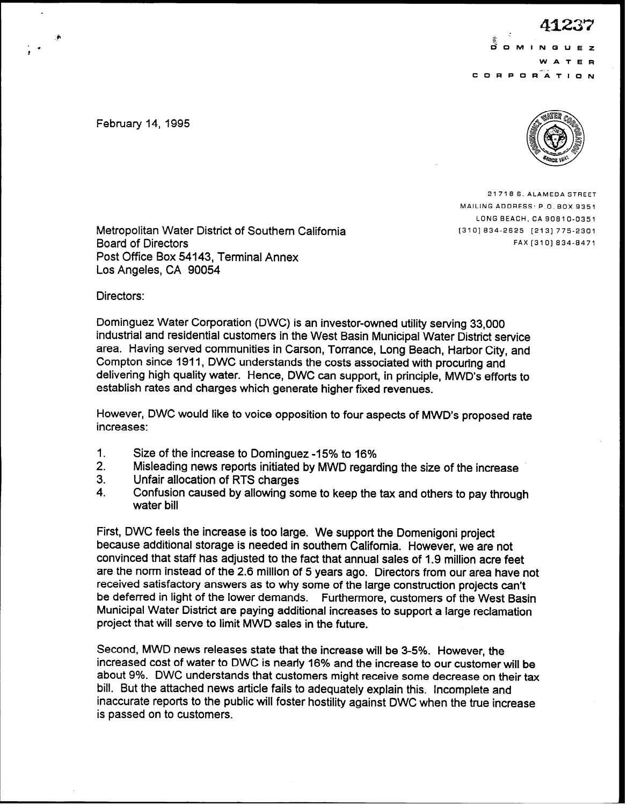$\ddot{x}$ .3.  $\mathcal{L}$  9  $\mathcal{L}$  9  $\mathcal{L}$  9  $\mathcal{L}$  9  $\mathcal{L}$  9  $\mathcal{L}$  9  $\mathcal{L}$  9  $\mathcal{L}$  9  $\mathcal{L}$  9  $\mathcal{L}$  9  $\mathcal{L}$  9  $\mathcal{L}$  9  $\mathcal{L}$  9  $\mathcal{L}$  9  $\mathcal{L}$  9  $\mathcal{L}$  9  $\mathcal{L}$  9  $\mathcal{L}$  9  $\mathcal{L}$  9  $\mathcal{L}$  9 W A C O R P O RATION

> February 14, 1995  $\mathbb{Z}$  ,  $\mathbb{Z}$ 21 (U. @  $\left\{ \left( \vec{v}\right) \right\}$  $\Diamond$   $\Diamond$   $\Diamond$ **SAMCIE 1911**

f

21716 S. ALAMEDA STREET MAILING ADDRESS: P.O. BOX 9351 LONG BEACH, CA 9061 O-0351 (3101 634-2625 [213] 775-2301 FAX [310] 634-6471

Metropolitan Water District of Southern California Board of Directors Post Office Box 54143, Terminal Annex Los Angeles, CA 90054

Directors:

Dominguez Water Corporation (DWC) is an investor-owned utility serving 33,000 industrial and residential customers in the West Basin Municipal Water District service area. Having served communities in Carson, Torrance, Long Beach, Harbor City, and Compton since 1911, DWC understands the costs associated with procuring and delivering high quality water. Hence, DWC can support, in principle, MWD's efforts to establish rates and charges which generate higher fixed revenues.

However, DWC would like to voice opposition to four aspects of MWD's proposed rate increases:

- 1. Size of the increase to Dominguez -15% to 16%
- 2. Misleading news reports initiated by MWD regarding the size of the increase
- 3. Unfair allocation of RTS charges
- 4. Confusion caused by allowing some to keep the tax and others to pay through water bill

First, DWC feels the increase is too large. We support the Domenigoni project because additional storage is needed in southern California. However, we are not convinced that staff has adjusted to the fact that annual sales of 1.9 million acre feet are the norm instead of the 2.6 million of 5 years ago. Directors from our area have not received satisfactory answers as to why some of the large construction projects can't be deferred in light of the lower demands. Furthermore, customers of the West Basin Municipal Water District are paying additional increases to support a large reclamation project that will serve to limit MWD sales in the future.

Second, MWD news releases state that the increase will be 3-5%. However, the increased cost of water to DWC is nearly 16% and the increase to our customer will be about 9%. DWC understands that customers might receive some decrease on their tax bill. But the attached news article fails to adequately explain this. Incomplete and inaccurate reports to the public will foster hostility against DWC when the true increase is passed on to customers.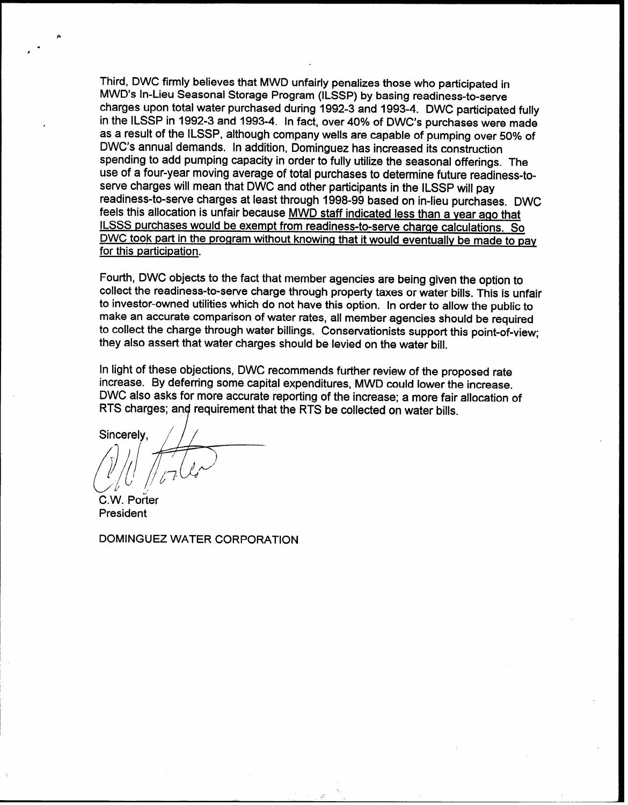Third, DWC firmly believes that MWD unfairly penalizes those who participated in MWD's In-Lieu Seasonal Storage Program (ILSSP) by basing readiness-to-serve charges upon total water purchased during 1992-3 and 1993-4. DWC participated fully in the ILSSP in 1992-3 and 1993-4. In fact, over 40% of DWC's purchases were made as a result of the ILSSP, although company wells are capable of pumping over 50% of DWC's annual demands. In addition, Dominguez has increased its construction spending to add pumping capacity in order to fully utilize the seasonal offerings. The use of a four-year moving average of total purchases to determine future readiness-toserve charges will mean that DWC and other participants in the ILSSP will pay readiness-to-serve charges at least through 1998-99 based on in-lieu purchases. DWC feels this allocation is unfair because MWD staff indicated less than a year ago that ILSSS purchases would be exempt from readiness-to-serve charge calculations. So DWC took part in the program without knowing that it would eventually be made to pay for this participation.

Fourth, DWC objects to the fact that member agencies are being given the option to collect the readiness-to-serve charge through property taxes or water bills. This is unfair to investor-owned utilities which do not have this option. In order to allow the public to make an accurate comparison of water rates, all member agencies should be required to collect the charge through water billings. Conservationists support this point-of-view; they also assert that water charges should be levied on the water bill.

In light of these objections, DWC recommends further review of the proposed rate increase. By deferring some capital expenditures, MWD could lower the increase. DWC also asks for more accurate reporting of the increase; a more fair allocation of RTS charges; and requirement that the RTS be collected on water bills.

Sincerely.

C.W. Porter President

DOMINGUEZ WATER CORPORATION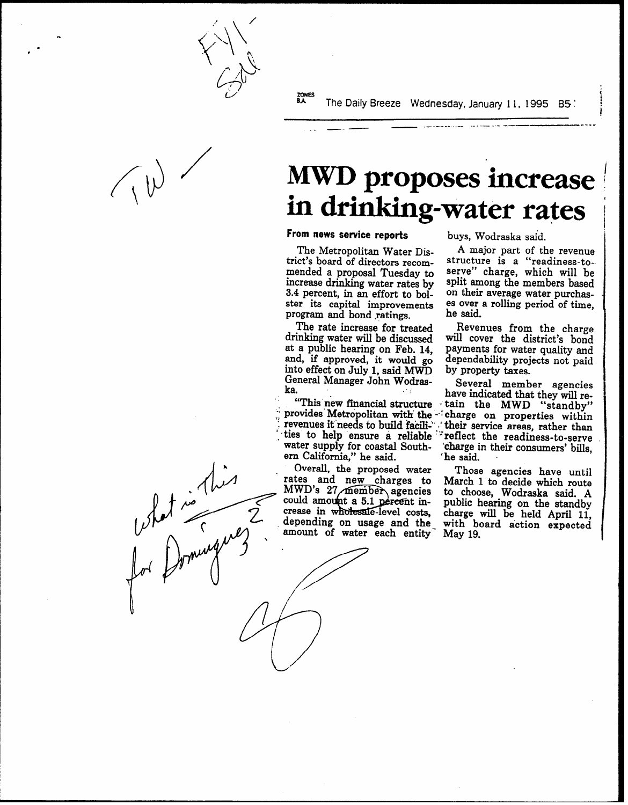zowes<br>**BA** The Daily Breeze Wednesday, January 11, 1995 B5 :

\_\_\_\_\_\_\_ \_.- .-\_--- \_.- ---p-m-.-

What is this

# MWD proposes increase in drinking-water rates |

### From news service reports buys, Wodraska said.

 $\cdot$  -  $\cdot$ 

trict's board of directors recommended a proposal Tuesday to serve" charge, which will be increase drinking water rates by split among the members based increase drinking water rates by split among the members based 3.4 percent, in an effort to bol- on their average water purchas-3.4 percent, in an effort to bol- on their average water purchasster its capital improvements es over a rolling period of time, program and bond ratings.

The rate increase for treated drinking water will be discussed at a public hearing on Feb. 14, and, if approved, it would go into effect on July 1, said MWD General Manager John Wodras $k$ a.  $\qquad \qquad \blacksquare$ 

revenues it needs to build facili- , their service areas, rather than ties to help ensure a reliable reflect the readiness-to-serve water supply for coastal Southern California," he said.

Overall, the proposed water rates and new charges to<br>MWD's 27 member agencies could amount a 5.1 percent in- public hearing on the standby crease in wholesale-level costs, charge will be held April 11, depending on usage and the with board action expected amount of water each entity<sup>-</sup> May 19.

The Metropolitan Water Dis-  $\,$  A major part of the revenue et's board of directors recom- structure is a "readiness-toes over a rolling period of time,<br>he said.

> Revenues from the charge will cover the district's bond payments for water quality and dependability projects not paid by property taxes.

Several member agencies "This new financial structure - tain the MWD "standby" have indicated that they will reprovides Metropolitan with the -- charge on properties within 'charge in their consumers' bills, 'he said. '

> Those agencies have until March 1 to decide which route to choose, Wodraska said. A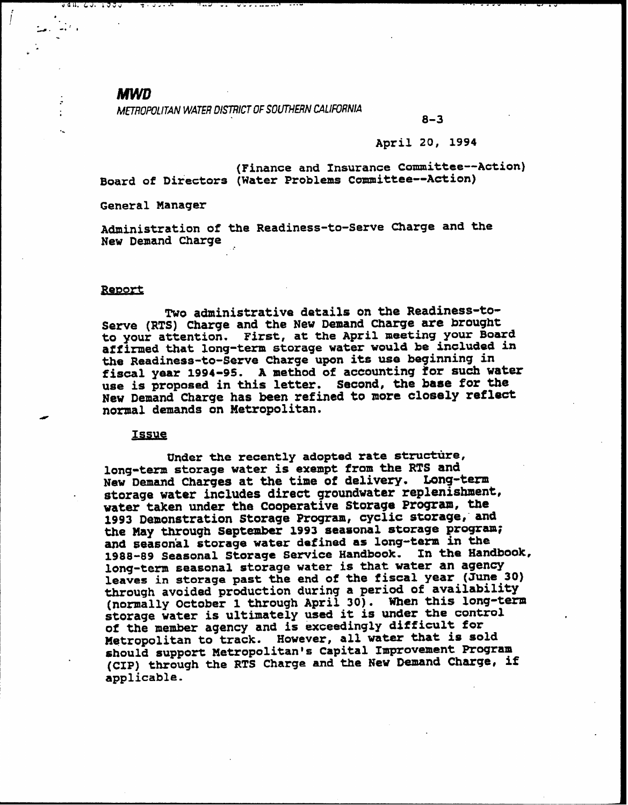### **MWD**

 $7.7.7$ 

 $\frac{1}{2}$  . The  $\frac{1}{2}$  -th  $\frac{1}{2}$ 

. .- .

<u>Jan. CJ. 1995</u>

-.

 $\frac{1}{2}$ 

. METROPOLITAN WATER DISTRICT OF SOUTHERN CALIFORNIA<br>8–3

**UNIVERSITY** 

#### April 20, 1994

(Finance and Insurance Committee-Action) Board of Directors (Water Problems Committee-Action)

General Manager

Administration of the Readiness-to-Serve Charge and the New Demand Charge

#### Report

Two administrative details on the Readiness-to-Serve (RTS) Charge and the New Demand Charge are brought to your attention. First, at the April meeting your Board affirmed that long-term storage water would be included in the Readiness-to-Serve Charge upon its use beginning in fiscal year 1994-95. A method of accounting for such water use is proposed in this letter. Second, the base for the New Demand Charge has been refined to more closely reflect normal demands on Metropolitan.

#### Issue

Under the recently adopted rate structure, long-term storage water is exempt from the RTS and New Demand Charges at the time of delivery. Long-term storage water includes direct groundwater replenishment, water taken under the Cooperative Storage Program, the 1993 Demonstration Storage Program, cyclic storage, and the May through September 1993 seasonal storage program; and season'al storage water defined as long-tern in the 1988-89 Seasonal Storage Service Handbook. In the Handbook, long-term seasonal storage water is that water an agency leaves in storage past the end of the fiscal year (June 30) through avoided production during a period of availability (normally October 1 through April 30). When this long-term storage water is ultimately used it is under the control of the member agency and is exceedingly difficult for Metropolitan to track. However, all water that is sold should support Metropolitan's Capital Improvement Program . (CIp) through the RTS Charge and the New Demand Charge, if applicable.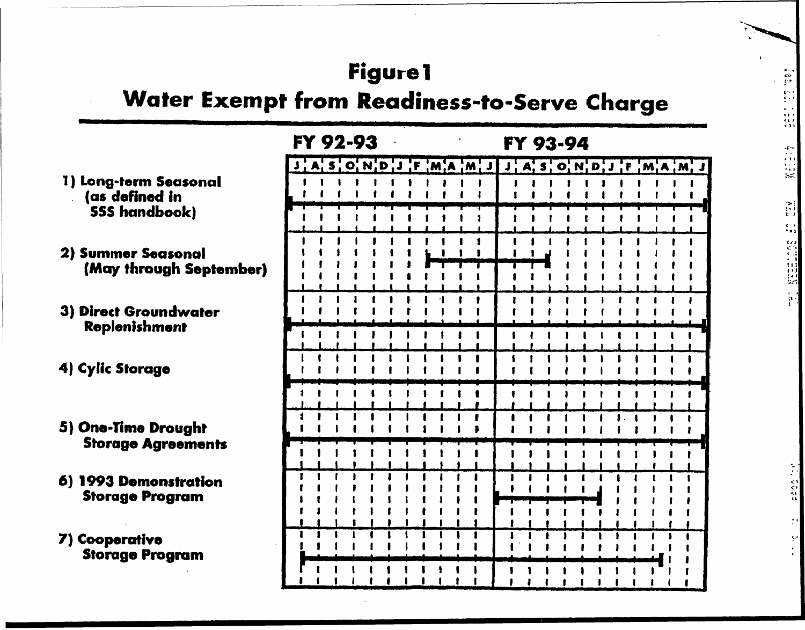## **Figure1**

## Water Exempt from Readiness-to-Serve Charge

 $\frac{\alpha}{\alpha}$ 

Killer

 $\frac{3}{12}$  $\frac{1}{2}$ 

**Societar California** 

co<br>a a a

|                                                  | FY 92-93 |  |  |  |  | FY 93-94 |  |                                    |  |  |  |  |  |  |  |  |  |  |  |                                    |  |
|--------------------------------------------------|----------|--|--|--|--|----------|--|------------------------------------|--|--|--|--|--|--|--|--|--|--|--|------------------------------------|--|
|                                                  |          |  |  |  |  |          |  | J, A, S, O, N, D, J, F, M, A, M, J |  |  |  |  |  |  |  |  |  |  |  | J, A, S, O, N, D, J, F, M, A, M, J |  |
| 1) Long-term Seasonal<br>(as defined in          |          |  |  |  |  |          |  |                                    |  |  |  |  |  |  |  |  |  |  |  |                                    |  |
| <b>SSS handbook)</b>                             |          |  |  |  |  |          |  |                                    |  |  |  |  |  |  |  |  |  |  |  |                                    |  |
| 2) Summer Seasonal<br>(May through September)    |          |  |  |  |  |          |  |                                    |  |  |  |  |  |  |  |  |  |  |  |                                    |  |
| 3) Direct Groundwater<br>Replenishment           |          |  |  |  |  |          |  |                                    |  |  |  |  |  |  |  |  |  |  |  |                                    |  |
|                                                  |          |  |  |  |  |          |  |                                    |  |  |  |  |  |  |  |  |  |  |  |                                    |  |
| 4) Cylic Storage                                 |          |  |  |  |  |          |  |                                    |  |  |  |  |  |  |  |  |  |  |  |                                    |  |
| 5) One-Time Drought<br><b>Storage Agreements</b> |          |  |  |  |  |          |  |                                    |  |  |  |  |  |  |  |  |  |  |  |                                    |  |
| 6) 1993 Demonstration<br><b>Storage Program</b>  |          |  |  |  |  |          |  |                                    |  |  |  |  |  |  |  |  |  |  |  |                                    |  |
| 7) Cooperative                                   |          |  |  |  |  |          |  |                                    |  |  |  |  |  |  |  |  |  |  |  |                                    |  |
| <b>Storage Program</b>                           |          |  |  |  |  |          |  |                                    |  |  |  |  |  |  |  |  |  |  |  |                                    |  |